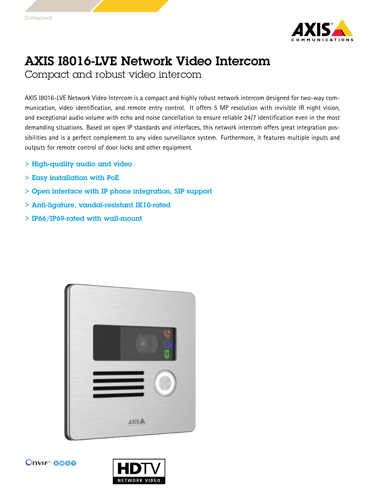

## AXIS I8016-LVE Network Video Intercom

Compact and robust video intercom

AXIS I8016-LVE Network Video Intercom is <sup>a</sup> compact and highly robust network intercom designed for two-way communication, video identification, and remote entry control. It offers 5 MP resolution with invisible IR night vision, and exceptional audio volume with echo and noise cancellation to ensure reliable 24/7 identification even in the most demanding situations. Based on open IP standards and interfaces, this network intercom offers great integration possibilities and is <sup>a</sup> perfect complement to any video surveillance system. Furthermore, it features multiple inputs and outputs for remote control of door locks and other equipment.

- > High-quality audio and video
- $>$  Easy installation with PoE
- > Open interface with IP phone integration, SIP support
- > Anti-ligature, vandal-resistant IK10-rated
- > IP66/IP69-rated with wall-mount





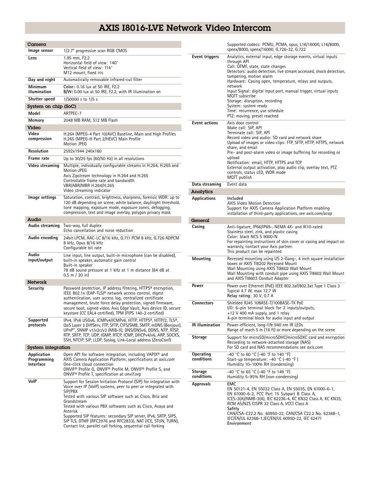## AXIS I8016-LVE Network Video Intercom

| $C$ amera                               |                                                                                                                                                                                                                                                                                                                                                                                                                                                                                                       |                              | Sup                                                                    |
|-----------------------------------------|-------------------------------------------------------------------------------------------------------------------------------------------------------------------------------------------------------------------------------------------------------------------------------------------------------------------------------------------------------------------------------------------------------------------------------------------------------------------------------------------------------|------------------------------|------------------------------------------------------------------------|
| Image sensor                            | 1/2.7" progressive scan RGB CMOS                                                                                                                                                                                                                                                                                                                                                                                                                                                                      |                              | spe                                                                    |
| Lens                                    | 1.95 mm. F2.2<br>Horizontal field of view: 140°<br>Vertical field of view: 114°<br>M12 mount, fixed iris                                                                                                                                                                                                                                                                                                                                                                                              | <b>Event triggers</b>        | Ana<br>thr<br>Cal<br>Det                                               |
| Day and night                           | Automatically removable infrared-cut filter                                                                                                                                                                                                                                                                                                                                                                                                                                                           |                              | tan<br>Har                                                             |
| Minimum<br>illumination                 | Color: 0.16 lux at 50 IRE, F2.2<br>B/W: 0.00 lux at 50 IRE, F2.2, with IR illumination on                                                                                                                                                                                                                                                                                                                                                                                                             |                              | net<br>Inp                                                             |
| Shutter speed                           | 1/50000 s to 1/5 s                                                                                                                                                                                                                                                                                                                                                                                                                                                                                    |                              | M<br>Sto                                                               |
| System on chip (SoC)                    |                                                                                                                                                                                                                                                                                                                                                                                                                                                                                                       |                              | Sys                                                                    |
| Model                                   | ARTPEC-7                                                                                                                                                                                                                                                                                                                                                                                                                                                                                              |                              | Tim<br><b>PTZ</b>                                                      |
| Memory                                  | 2048 MB RAM, 512 MB Flash                                                                                                                                                                                                                                                                                                                                                                                                                                                                             | <b>Event actions</b>         | Axi                                                                    |
| Video                                   |                                                                                                                                                                                                                                                                                                                                                                                                                                                                                                       |                              | Ma                                                                     |
| Video<br>compression                    | H.264 (MPEG-4 Part 10/AVC) Baseline, Main and High Profiles<br>H.265 (MPEG-H Part 2/HEVC) Main Profile<br><b>Motion JPEG</b>                                                                                                                                                                                                                                                                                                                                                                          |                              | Ter<br>Rec<br>Upl<br>sha                                               |
| Resolution                              | 2592x1944 240x160                                                                                                                                                                                                                                                                                                                                                                                                                                                                                     |                              | Pre                                                                    |
| Frame rate                              | Up to $30/25$ fps $(60/50$ Hz) in all resolutions                                                                                                                                                                                                                                                                                                                                                                                                                                                     |                              | upl<br>Not                                                             |
| Video streaming                         | Multiple, individually configurable streams in H.264, H.265 and                                                                                                                                                                                                                                                                                                                                                                                                                                       |                              | Ext                                                                    |
|                                         | Motion JPEG<br>Axis Zipstream technology in H.264 and H.265                                                                                                                                                                                                                                                                                                                                                                                                                                           |                              | cor                                                                    |
|                                         | Controllable frame rate and bandwidth                                                                                                                                                                                                                                                                                                                                                                                                                                                                 |                              | M                                                                      |
|                                         | VBR/ABR/MBR H.264/H.265<br>Video streaming indicator                                                                                                                                                                                                                                                                                                                                                                                                                                                  | Data streaming               | Eve                                                                    |
| Image settings                          | Saturation, contrast, brightness, sharpness, forensic WDR: up to                                                                                                                                                                                                                                                                                                                                                                                                                                      | Analytics                    |                                                                        |
|                                         | 120 dB depending on scene, white balance, day/night threshold,<br>tone mapping, exposure mode, exposure zones, defogging,<br>compression, text and image overlay, polygon privacy mask                                                                                                                                                                                                                                                                                                                | Applications                 | Inc<br>AXI<br>Sup<br>inst                                              |
| Audio                                   |                                                                                                                                                                                                                                                                                                                                                                                                                                                                                                       | General                      |                                                                        |
| Audio streaming                         | Two-way, full duplex                                                                                                                                                                                                                                                                                                                                                                                                                                                                                  | Casing                       | Ant                                                                    |
| Audio encoding                          | Echo cancellation and noise reduction<br>24bit LPCM, AAC-LC 8/16 kHz, G.711 PCM 8 kHz, G.726 ADPCM<br>8 kHz, Opus 8/16 kHz<br>Configurable bit rate                                                                                                                                                                                                                                                                                                                                                   |                              | Sta<br>Col<br>For<br>wa<br>Thi:                                        |
| Audio<br>input/output                   | Line input, line output, built-in microphone (can be disabled),<br>built-in speaker, automatic gain control<br>Built-in speaker<br>78 dB sound pressure at 1 kHz at 1 m distance (84 dB at<br>$0.5 \, \text{m}$ / 20 in)                                                                                                                                                                                                                                                                              | Mounting                     | Rec<br>box<br>Wa<br>Wa<br>and                                          |
| <b>Network</b>                          |                                                                                                                                                                                                                                                                                                                                                                                                                                                                                                       | Power                        | Pov                                                                    |
| Security                                | Password protection, IP address filtering, HTTPS <sup>a</sup> encryption,<br>IEEE 802.1x (EAP-TLS) <sup>a</sup> network access control, digest<br>authentication, user access log, centralized certificate                                                                                                                                                                                                                                                                                            |                              | Typ<br>Rel                                                             |
|                                         | management, brute force delay protection, signed firmware,<br>secure boot, signed video, Axis Edge Vault, Axis device ID, secure<br>keystore (CC EAL4 certified), TPM (FIPS 140-2 certified)                                                                                                                                                                                                                                                                                                          | <b>Connectors</b>            | Shi<br>1/0<br>$+12$                                                    |
| Supported<br>protocols                  | IPv4, IPv6 USGv6, ICMPv4/ICMPv6, HTTP, HTTPS <sup>a</sup> , HTTP/2, TLS <sup>a</sup> ,<br>QoS Layer 3 DiffServ, FTP, SFTP, CIFS/SMB, SMTP, mDNS (Bonjour),<br>UPnP®, SNMP v1/v2c/v3 (MIB-II), DNS/DNSv6, DDNS, NTP, RTSP,                                                                                                                                                                                                                                                                             | IR illumination              | 4-p<br>Pov<br>Rar                                                      |
|                                         | RTP, SRTP, TCP, UDP, IGMP, RTCP, ICMP, DHCPv4/v6, ARP, SOCKS,                                                                                                                                                                                                                                                                                                                                                                                                                                         | Storage                      | Sup                                                                    |
|                                         | SSH, NTCIP, SIP, LLDP, Syslog, Link-Local address (ZeroConf)                                                                                                                                                                                                                                                                                                                                                                                                                                          |                              | Rec                                                                    |
| System integration                      |                                                                                                                                                                                                                                                                                                                                                                                                                                                                                                       |                              | For                                                                    |
| Application<br>Programming<br>Interface | Open API for software integration, including VAPIX <sup>®</sup> and<br>AXIS Camera Application Platform; specifications at <i>axis.com</i><br>One-click cloud connection                                                                                                                                                                                                                                                                                                                              | Operating<br>conditions      | $-40$<br>Sta<br>Hui                                                    |
|                                         | ONVIF® Profile G, ONVIF® Profile M, ONVIF® Profile S, and<br>ONVIF <sup>®</sup> Profile T, specification at onvif.org                                                                                                                                                                                                                                                                                                                                                                                 | <b>Storage</b><br>conditions | $-40$<br>Hui                                                           |
| VoIP                                    | Support for Session Initiation Protocol (SIP) for integration with<br>Voice over IP (VoIP) systems, peer to peer or integrated with<br>SIP/PBX<br>Tested with various SIP software such as Cisco, Bria and<br>Grandstream<br>Tested with various PBX softwares such as Cisco, Avaya and<br>Asterisk<br>Supported SIP features: secondary SIP server, IPv6, SRTP, SIPS,<br>SIP TLS, DTMF (RFC2976 and RFC2833), NAT (ICE, STUN, TURN),<br>Contact list, parallel call forking, sequential call forking | <b>Approvals</b>             | EM<br>EN<br>EN<br>ICE<br>RCI<br>Saf<br><b>CAI</b><br>IEC<br><b>Env</b> |

|                         | Supported codecs: PCMU, PCMA, opus, L16/16000, L16/8000,<br>speex/8000, speex/16000, G.726-32, G.722                                                                                                                                                                                                                                                                                                                                                                                                      |
|-------------------------|-----------------------------------------------------------------------------------------------------------------------------------------------------------------------------------------------------------------------------------------------------------------------------------------------------------------------------------------------------------------------------------------------------------------------------------------------------------------------------------------------------------|
| Event triggers          | Analytics, external input, edge storage events, virtual inputs<br>through API<br>Call: DTMF, state, state changes<br>Detectors: audio detection, live stream accessed, shock detection,<br>tampering, motion alarm<br>Hardware: Casing open, temperature, relays and outputs,<br>network<br>Input Signal: digital input port, manual trigger, virtual inputs<br>MQTT subscribe<br>Storage: disruption, recording<br>System: system ready<br>Time: recurrence, use schedule<br>PTZ: moving, preset reached |
| <b>Event actions</b>    | Axis door control<br>Make call: SIP, API<br>Terminate call: SIP, API<br>Record video and audio: SD card and network share<br>Upload of images or video clips: FTP, SFTP, HTTP, HTTPS, network<br>share, and email<br>Pre- and post-alarm video or image buffering for recording or<br>upload<br>Notification: email, HTTP, HTTPS and TCP<br>External output activation, play audio clip, overlay text, PTZ<br>controls, status LED, WDR mode<br>MQTT publish                                              |
| Data streaming          | Event data                                                                                                                                                                                                                                                                                                                                                                                                                                                                                                |
| Analytics               |                                                                                                                                                                                                                                                                                                                                                                                                                                                                                                           |
| Applications            | Included<br>AXIS Video Motion Detection<br>Support for AXIS Camera Application Platform enabling<br>installation of third-party applications, see <i>axis.com/acap</i>                                                                                                                                                                                                                                                                                                                                    |
| General                 |                                                                                                                                                                                                                                                                                                                                                                                                                                                                                                           |
| Casing                  | Anti-ligature, IP66/IP69-, NEMA 4X- and IK10-rated<br>Stainless steel, zink, and plastic casing<br>Color: black NCS S 9000-N<br>For repainting instructions of skin cover or casing and impact on<br>warranty, contact your Axis partner.<br>This product can be repainted                                                                                                                                                                                                                                |
| Mounting                | Recessed mounting using US 2-Gang-, 4 inch square installation<br>boxes or AXIS TI8202 Recessed Mount<br>Wall Mounting using AXIS TI8602 Wall Mount<br>Wall Mounting with conduit pipe using AXIS TI8602 Wall Mount<br>and AXIS TI8603 Conduit Adapter                                                                                                                                                                                                                                                    |
| Power                   | Power over Ethernet (PoE) IEEE 802.3af/802.3at Type 1 Class 3<br>Typical 4.7 W, max 12.7 W<br>Relay rating: 30 V, 0.7 A                                                                                                                                                                                                                                                                                                                                                                                   |
| Connectors              | Shielded RJ45 10BASE-T/100BASE-TX PoE<br>I/O: 6-pin terminal block for 2 inputs/outputs,<br>$+12$ V 400 mA supply, and 1 relay<br>4-pin terminal block for audio input and output                                                                                                                                                                                                                                                                                                                         |
| IR illumination         | Power-efficient, long-life 940 nm IR LEDs<br>Range of reach 5 m (16 ft) or more depending on the scene                                                                                                                                                                                                                                                                                                                                                                                                    |
| Storage                 | Support for microSD/microSDHC/microSDXC card and encryption<br>Recording to network-attached storage (NAS)<br>For SD card and NAS recommendations see axis.com                                                                                                                                                                                                                                                                                                                                            |
| Operating<br>conditions | -40 °C to 60 °C (-40 °F to 140 °F)<br>Start-up temperature: -40 °C (-40 °F)<br>Humidity 10-100% RH (condensing)                                                                                                                                                                                                                                                                                                                                                                                           |
| Storage<br>conditions   | -40 °C to 65 °C (-40 °F to 149 °F)<br>Humidity 5-95% RH (non-condensing)                                                                                                                                                                                                                                                                                                                                                                                                                                  |
| Approvals               | EMC<br>EN 50121-4, EN 55032 Class A, EN 55035, EN 61000-6-1,<br>EN 61000-6-2, FCC Part 15 Subpart B Class A,<br>ICES-3(A)/NMB-3(A), IEC 62236-4, KC KN32 Class A, KC KN35,<br>RCM AS/NZS CISPR 32 Class A, VCCI Class A<br>Safety<br>CAN/CSA-C22.2 No. 60950-22, CAN/CSA C22.2 No. 62368-1,<br>IEC/EN/UL 62368-1, IEC/EN/UL 60950-22, IEC 62471<br>Environment                                                                                                                                            |